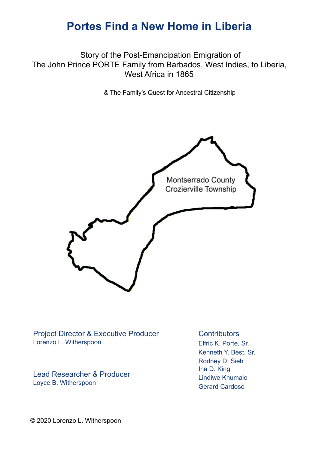Story of the Post-Emancipation Emigration of The John Prince PORTE Family from Barbados, West Indies, to Liberia, West Africa in 1865

& The Family's Quest for Ancestral Citizenship



Project Director & Executive Producer Lorenzo L. Witherspoon

Lead Researcher & Producer Loyce B. Witherspoon

**Contributors** Elfric K. Porte, Sr. Kenneth Y. Best, Sr. Rodney D. Sieh Ina D. King Lindiwe Khumalo Gerard Cardoso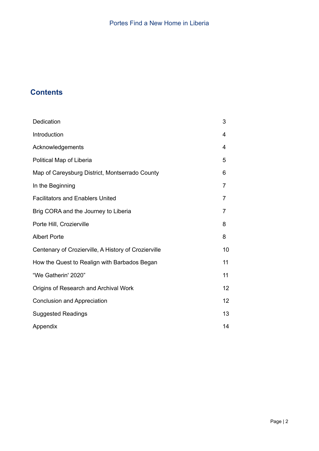# **Contents**

| Dedication                                           | 3               |
|------------------------------------------------------|-----------------|
| Introduction                                         | 4               |
| Acknowledgements                                     | 4               |
| Political Map of Liberia                             | 5               |
| Map of Careysburg District, Montserrado County       | 6               |
| In the Beginning                                     | 7               |
| <b>Facilitators and Enablers United</b>              | 7               |
| Brig CORA and the Journey to Liberia                 | 7               |
| Porte Hill, Crozierville                             | 8               |
| <b>Albert Porte</b>                                  | 8               |
| Centenary of Crozierville, A History of Crozierville | 10              |
| How the Quest to Realign with Barbados Began         | 11              |
| "We Gatherin' 2020"                                  | 11              |
| Origins of Research and Archival Work                | 12              |
| <b>Conclusion and Appreciation</b>                   | 12 <sup>2</sup> |
| <b>Suggested Readings</b>                            | 13              |
| Appendix                                             | 14              |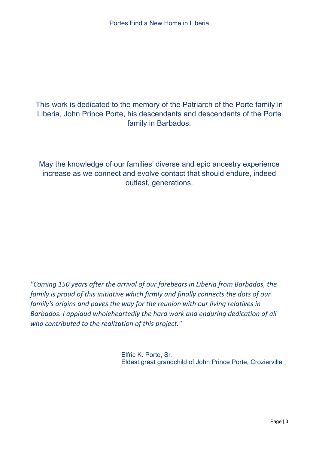# This work is dedicated to the memory of the Patriarch of the Porte family in Liberia, John Prince Porte, his descendants and descendants of the Porte family in Barbados.

May the knowledge of our families' diverse and epic ancestry experience increase as we connect and evolve contact that should endure, indeed outlast, generations.

*"Coming 150 years after the arrival of our forebears in Liberia from Barbados, the family is proud of this initiative which firmly and finally connects the dots of our family's origins and paves the way for the reunion with our living relatives in Barbados. I applaud wholeheartedly the hard work and enduring dedication of all who contributed to the realization of this project."*

> Elfric K. Porte, Sr. Eldest great grandchild of John Prince Porte, Crozierville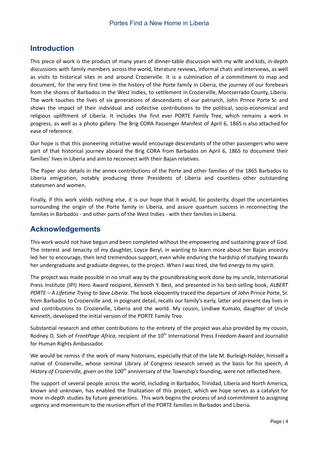# **Introduction**

This piece of work is the product of many years of dinner-table discussion with my wife and kids, in-depth discussions with family members across the world, literature reviews, informal chats and interviews, as well as visits to historical sites in and around Crozierville. It is a culmination of a commitment to map and document, for the very first time in the history of the Porte family in Liberia, the journey of our forebears from the shores of Barbados in the West Indies, to settlement in Crozierville, Montserrado County, Liberia. The work touches the lives of six generations of descendants of our patriarch, John Prince Porte Sr. and shows the impact of their individual and collective contributions to the political, socio-economical and religious upliftment of Liberia. It includes the first ever PORTE Family Tree, which remains a work in progress, as well as a photo gallery. The Brig CORA Passenger Manifest of April 6, 1865 is also attached for ease of reference.

Our hope is that this pioneering initiative would encourage descendants of the other passengers who were part of that historical journey aboard the Brig CORA from Barbados on April 6, 1865 to document their families' lives in Liberia and aim to reconnect with their Bajan relatives.

The Paper also details in the annex contributions of the Porte and other families of the 1865 Barbados to Liberia emigration, notably producing three Presidents of Liberia and countless other outstanding statesmen and women.

Finally, if this work yields nothing else, it is our hope that it would, for posterity, dispel the uncertainties surrounding the origin of the Porte family in Liberia, and assure quantum success in reconnecting the families in Barbados - and other parts of the West Indies - with their families in Liberia.

## **Acknowledgements**

This work would not have begun and been completed without the empowering and sustaining grace of God. The interest and tenacity of my daughter, Loyce Beryl, in wanting to learn more about her Bajan ancestry led her to encourage, then lend tremendous support, even while enduring the hardship of studying towards her undergraduate and graduate degrees, to the project. When I was tired, she fed energy to my spirit.

The project was made possible in no small way by the groundbreaking work done by my uncle, International Press Institute (IPI) Hero Award recipient, Kenneth Y. Best, and presented in his best-selling book, *ALBERT PORTE – A Lifetime Trying to Save Liberia*. The book eloquently traced the departure of John Prince Porte, Sr. from Barbados to Crozierville and, in poignant detail, recalls our family's early, latter and present day lives in and contributions to Crozierville, Liberia and the world. My cousin, Lindiwe Kumalo, daughter of Uncle Kenneth, developed the initial version of the PORTE Family Tree.

Substantial research and other contributions to the entirety of the project was also provided by my cousin, Rodney D. Sieh of FrontPage Africa, recipient of the 10<sup>th</sup> International Press Freedom Award and Journalist for Human Rights Ambassador.

We would be remiss if the work of many historians, especially that of the late M. Burleigh Holder, himself a native of Crozierville, whose seminal Library of Congress research served as the basis for his speech, *A* History of Crozierville, given on the 100<sup>th</sup> anniversary of the Township's founding, were not reflected here.

The support of several people across the world, including in Barbados, Trinidad, Liberia and North America, known and unknown, has enabled the finalization of this project, which we hope serves as a catalyst for more in-depth studies by future generations. This work begins the process of and commitment to assigning urgency and momentum to the reunion effort of the PORTE families in Barbados and Liberia.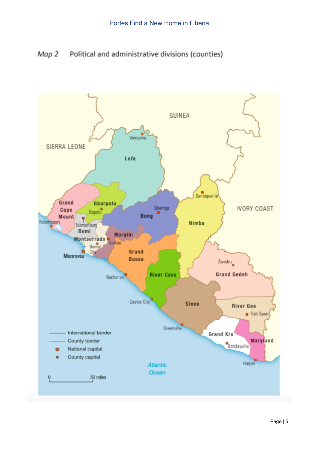Map 2 Political and administrative divisions (counties)

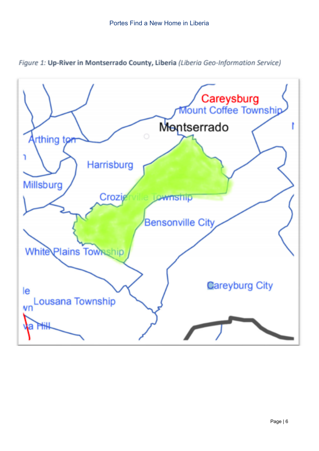

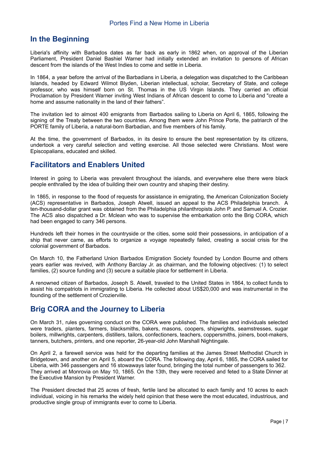### **In the Beginning**

Liberia's affinity with Barbados dates as far back as early in 1862 when, on approval of the Liberian Parliament, President Daniel Bashiel Warner had initially extended an invitation to persons of African descent from the islands of the West Indies to come and settle in Liberia.

In 1864, a year before the arrival of the Barbadians in Liberia, a delegation was dispatched to the Caribbean Islands, headed by Edward Wilmot Blyden, Liberian intellectual, scholar, Secretary of State, and college professor, who was himself born on St. Thomas in the US Virgin Islands. They carried an official Proclamation by President Warner inviting West Indians of African descent to come to Liberia and "create a home and assume nationality in the land of their fathers".

The invitation led to almost 400 emigrants from Barbados sailing to Liberia on April 6, 1865, following the signing of the Treaty between the two countries. Among them were John Prince Porte, the patriarch of the PORTE family of Liberia, a natural-born Barbadian, and five members of his family.

At the time, the government of Barbados, in its desire to ensure the best representation by its citizens, undertook a very careful selection and vetting exercise. All those selected were Christians. Most were Episcopalians, educated and skilled.

#### **Facilitators and Enablers United**

Interest in going to Liberia was prevalent throughout the islands, and everywhere else there were black people enthralled by the idea of building their own country and shaping their destiny.

In 1865, in response to the flood of requests for assistance in emigrating, the American Colonization Society (ACS) representative in Barbados, Joseph Atwell, issued an appeal to the ACS Philadelphia branch. A ten-thousand-dollar grant was obtained from the Philadelphia philanthropists John P. and Samuel A. Crozier. The ACS also dispatched a Dr. Mclean who was to supervise the embarkation onto the Brig CORA, which had been engaged to carry 346 persons.

Hundreds left their homes in the countryside or the cities, some sold their possessions, in anticipation of a ship that never came, as efforts to organize a voyage repeatedly failed, creating a social crisis for the colonial government of Barbados.

On March 10, the Fatherland Union Barbados Emigration Society founded by London Bourne and others years earlier was revived, with Anthony Barclay Jr. as chairman, and the following objectives: (1) to select families, (2) source funding and (3) secure a suitable place for settlement in Liberia.

A renowned citizen of Barbados, Joseph S. Atwell, traveled to the United States in 1864, to collect funds to assist his compatriots in immigrating to Liberia. He collected about US\$20,000 and was instrumental in the founding of the settlement of Crozierville.

### **Brig CORA and the Journey to Liberia**

On March 31, rules governing conduct on the CORA were published. The families and individuals selected were traders, planters, farmers, blacksmiths, bakers, masons, coopers, shipwrights, seamstresses, sugar boilers, millwrights, carpenters, distillers, tailors, confectioners, teachers, coppersmiths, joiners, boot-makers, tanners, butchers, printers, and one reporter, 26-year-old John Marshall Nightingale.

On April 2, a farewell service was held for the departing families at the James Street Methodist Church in Bridgetown, and another on April 5, aboard the CORA. The following day, April 6, 1865, the CORA sailed for Liberia, with 346 passengers and 16 stowaways later found, bringing the total number of passengers to 362. They arrived at Monrovia on May 10, 1865. On the 13th, they were received and feted to a State Dinner at the Executive Mansion by President Warner.

The President directed that 25 acres of fresh, fertile land be allocated to each family and 10 acres to each individual, voicing in his remarks the widely held opinion that these were the most educated, industrious, and productive single group of immigrants ever to come to Liberia.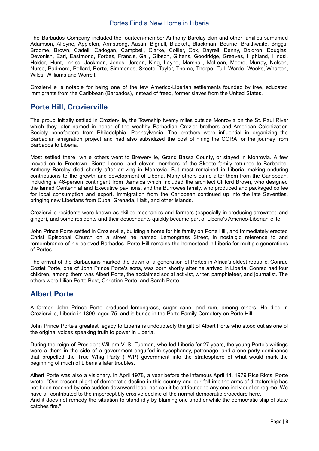The Barbados Company included the fourteen-member Anthony Barclay clan and other families surnamed Adamson, Alleyne, Appleton, Armstrong, Austin, Bignall, Blackett, Blackman, Bourne, Braithwaite, Briggs, Broome, Brown, Cadell, Cadogan, Campbell, Clarke, Collier, Cox, Dayrell, Denny, Doldron, Douglas, Devonish, Earl, Eastmond, Forbes, Francis, Gall, Gibson, Gittens, Goodridge, Greaves, Highland, Hindsl, Holder, Hunt, Inniss, Jackman, Jones, Jordan, King, Layne, Marshall, McLean, Moore, Murray, Nelson, Nurse, Padmore, Pollard, **Porte**, Simmonds, Skeete, Taylor, Thome, Thorpe, Tull, Warde, Weeks, Wharton, Wiles, Williams and Worrell.

Crozierville is notable for being one of the few Americo-Liberian settlements founded by free, educated immigrants from the Caribbean (Barbados), instead of freed, former slaves from the United States.

## **Porte Hill, Crozierville**

The group initially settled in Crozierville, the Township twenty miles outside Monrovia on the St. Paul River which they later named in honor of the wealthy Barbadian Crozier brothers and American Colonization Society benefactors from Philadelphia, Pennsylvania. The brothers were influential in organizing the Barbadian emigration project and had also subsidized the cost of hiring the CORA for the journey from Barbados to Liberia.

Most settled there, while others went to Brewerville, Grand Bassa County, or stayed in Monrovia. A few moved on to Freetown, Sierra Leone, and eleven members of the Skeete family returned to Barbados. Anthony Barclay died shortly after arriving in Monrovia. But most remained in Liberia, making enduring contributions to the growth and development of Liberia. Many others came after them from the Caribbean, including a 46-person contingent from Jamaica which included the architect Clifford Brown, who designed the famed Centennial and Executive pavilions, and the Burrowes family, who produced and packaged coffee for local consumption and export. Immigration from the Caribbean continued up into the late Seventies, bringing new Liberians from Cuba, Grenada, Haiti, and other islands.

Crozierville residents were known as skilled mechanics and farmers (especially in producing arrowroot, and ginger), and some residents and their descendants quickly became part of Liberia's Americo-Liberian elite.

John Prince Porte settled in Crozierville, building a home for his family on Porte Hill, and immediately erected Christ Episcopal Church on a street he named Lemongrass Street, in nostalgic reference to and remembrance of his beloved Barbados. Porte Hill remains the homestead in Liberia for multiple generations of Portes.

The arrival of the Barbadians marked the dawn of a generation of Portes in Africa's oldest republic. Conrad Cozlet Porte, one of John Prince Porte's sons, was born shortly after he arrived in Liberia. Conrad had four children, among them was Albert Porte, the acclaimed social activist, writer, pamphleteer, and journalist. The others were Lilian Porte Best, Christian Porte, and Sarah Porte.

### **Albert Porte**

A farmer, John Prince Porte produced lemongrass, sugar cane, and rum, among others. He died in Crozierville, Liberia in 1890, aged 75, and is buried in the Porte Family Cemetery on Porte Hill.

John Prince Porte's greatest legacy to Liberia is undoubtedly the gift of Albert Porte who stood out as one of the original voices speaking truth to power in Liberia.

During the reign of President William V. S. Tubman, who led Liberia for 27 years, the young Porte's writings were a thorn in the side of a government engulfed in sycophancy, patronage, and a one-party dominance that propelled the True Whig Party (TWP) government into the stratosphere of what would mark the beginning of much of Liberia's later troubles.

Albert Porte was also a visionary. In April 1978, a year before the infamous April 14, 1979 Rice Riots, Porte wrote: "Our present plight of democratic decline in this country and our fall into the arms of dictatorship has not been reached by one sudden downward leap, nor can it be attributed to any one individual or regime. We have all contributed to the imperceptibly erosive decline of the normal democratic procedure here.

And it does not remedy the situation to stand idly by blaming one another while the democratic ship of state catches fire."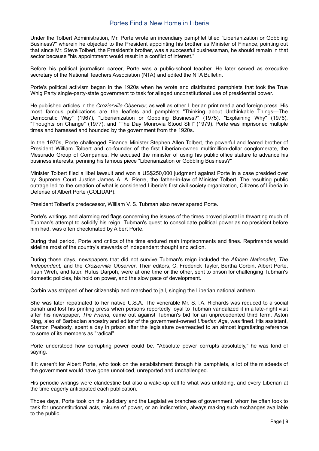Under the Tolbert Administration, Mr. Porte wrote an incendiary pamphlet titled "Liberianization or Gobbling Business?" wherein he objected to the President appointing his brother as Minister of Finance, pointing out that since Mr. Steve Tolbert, the President's brother, was a successful businessman, he should remain in that sector because "his appointment would result in a conflict of interest."

Before his political journalism career, Porte was a public-school teacher. He later served as executive secretary of the National Teachers Association (NTA) and edited the NTA Bulletin.

Porte's political activism began in the 1920s when he wrote and distributed pamphlets that took the True Whig Party single-party-state government to task for alleged unconstitutional use of presidential power.

He published articles in the *Crozierville Observer*, as well as other Liberian print media and foreign press. His most famous publications are the leaflets and pamphlets "Thinking about Unthinkable Things—The Democratic Way" (1967), "Liberianization or Gobbling Business?" (1975), "Explaining Why" (1976), "Thoughts on Change" (1977), and "The Day Monrovia Stood Still" (1979). Porte was imprisoned multiple times and harassed and hounded by the government from the 1920s.

In the 1970s, Porte challenged Finance Minister Stephen Allen Tolbert, the powerful and feared brother of President William Tolbert and co-founder of the first Liberian-owned multimillion-dollar conglomerate, the Mesurado Group of Companies. He accused the minister of using his public office stature to advance his business interests, penning his famous piece "Liberianization or Gobbling Business?"

Minister Tolbert filed a libel lawsuit and won a US\$250,000 judgment against Porte in a case presided over by Supreme Court Justice James A. A. Pierre, the father-in-law of Minister Tolbert. The resulting public outrage led to the creation of what is considered Liberia's first civil society organization, Citizens of Liberia in Defense of Albert Porte (COLIDAP).

President Tolbert's predecessor, William V. S. Tubman also never spared Porte.

Porte's writings and alarming red flags concerning the issues of the times proved pivotal in thwarting much of Tubman's attempt to solidify his reign. Tubman's quest to consolidate political power as no president before him had, was often checkmated by Albert Porte.

During that period, Porte and critics of the time endured rash imprisonments and fines. Reprimands would sideline most of the country's stewards of independent thought and action.

During those days, newspapers that did not survive Tubman's reign included the *African Nationalist, The Independent,* and the *Crozierville Observer*. Their editors, C. Frederick Taylor, Bertha Corbin, Albert Porte, Tuan Wreh, and later, Rufus Darpoh, were at one time or the other, sent to prison for challenging Tubman's domestic policies, his hold on power, and the slow pace of development.

Corbin was stripped of her citizenship and marched to jail, singing the Liberian national anthem.

She was later repatriated to her native U.S.A. The venerable Mr. S.T.A. Richards was reduced to a social pariah and lost his printing press when persons reportedly loyal to Tubman vandalized it in a late-night visit after his newspaper, *The Friend,* came out against Tubman's bid for an unprecedented third term. Aston King, also of Barbadian ancestry and editor of the government-owned *Liberian Age*, was fined. His assistant, Stanton Peabody, spent a day in prison after the legislature overreacted to an almost ingratiating reference to some of its members as "radical".

Porte understood how corrupting power could be. "Absolute power corrupts absolutely," he was fond of saying.

If it weren't for Albert Porte, who took on the establishment through his pamphlets, a lot of the misdeeds of the government would have gone unnoticed, unreported and unchallenged.

His periodic writings were clandestine but also a wake-up call to what was unfolding, and every Liberian at the time eagerly anticipated each publication.

Those days, Porte took on the Judiciary and the Legislative branches of government, whom he often took to task for unconstitutional acts, misuse of power, or an indiscretion, always making such exchanges available to the public.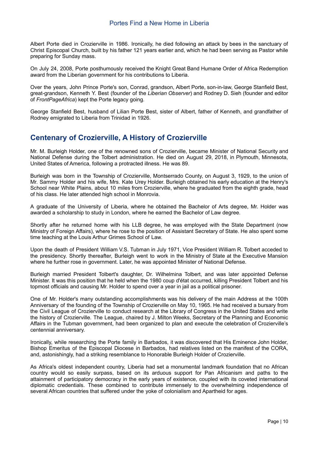Albert Porte died in Crozierville in 1986. Ironically, he died following an attack by bees in the sanctuary of Christ Episcopal Church, built by his father 121 years earlier and, which he had been serving as Pastor while preparing for Sunday mass.

On July 24, 2008, Porte posthumously received the Knight Great Band Humane Order of Africa Redemption award from the Liberian government for his contributions to Liberia.

Over the years, John Prince Porte's son, Conrad, grandson, Albert Porte, son-in-law, George Stanfield Best, great-grandson, Kenneth Y. Best (founder of the *Liberian Observer*) and Rodney D. Sieh (founder and editor of *FrontPageAfrica*) kept the Porte legacy going.

George Stanfield Best, husband of Lilian Porte Best, sister of Albert, father of Kenneth, and grandfather of Rodney emigrated to Liberia from Trinidad in 1926.

# **Centenary of Crozierville, A History of Crozierville**

Mr. M. Burleigh Holder, one of the renowned sons of Crozierville, became Minister of National Security and National Defense during the Tolbert administration. He died on August 29, 2018, in Plymouth, Minnesota, United States of America, following a protracted illness. He was 89.

Burleigh was born in the Township of Crozierville, Montserrado County, on August 3, 1929, to the union of Mr. Sammy Holder and his wife, Mrs. Kate Urey Holder. Burleigh obtained his early education at the Henry's School near White Plains, about 10 miles from Crozierville, where he graduated from the eighth grade, head of his class. He later attended high school in Monrovia.

A graduate of the University of Liberia, where he obtained the Bachelor of Arts degree, Mr. Holder was awarded a scholarship to study in London, where he earned the Bachelor of Law degree.

Shortly after he returned home with his LLB degree, he was employed with the State Department (now Ministry of Foreign Affairs), where he rose to the position of Assistant Secretary of State. He also spent some time teaching at the Louis Arthur Grimes School of Law.

Upon the death of President William V.S. Tubman in July 1971, Vice President William R. Tolbert acceded to the presidency. Shortly thereafter, Burleigh went to work in the Ministry of State at the Executive Mansion where he further rose in government. Later, he was appointed Minister of National Defense.

Burleigh married President Tolbert's daughter, Dr. Wilhelmina Tolbert, and was later appointed Defense Minister. It was this position that he held when the 1980 coup d'état occurred, killing President Tolbert and his topmost officials and causing Mr. Holder to spend over a year in jail as a political prisoner.

One of Mr. Holder's many outstanding accomplishments was his delivery of the main Address at the 100th Anniversary of the founding of the Township of Crozierville on May 10, 1965. He had received a bursary from the Civil League of Crozierville to conduct research at the Library of Congress in the United States and write the history of Crozierville. The League, chaired by J. Milton Weeks, Secretary of the Planning and Economic Affairs in the Tubman government, had been organized to plan and execute the celebration of Crozierville's centennial anniversary.

Ironically, while researching the Porte family in Barbados, it was discovered that His Eminence John Holder, Bishop Emeritus of the Episcopal Diocese in Barbados, had relatives listed on the manifest of the CORA, and, astonishingly, had a striking resemblance to Honorable Burleigh Holder of Crozierville.

As Africa's oldest independent country, Liberia had set a monumental landmark foundation that no African country would so easily surpass, based on its arduous support for Pan Africanism and paths to the attainment of participatory democracy in the early years of existence, coupled with its coveted international diplomatic credentials. These combined to contribute immensely to the overwhelming independence of several African countries that suffered under the yoke of colonialism and Apartheid for ages.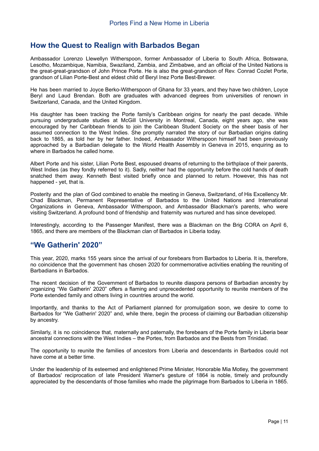#### **How the Quest to Realign with Barbados Began**

Ambassador Lorenzo Llewellyn Witherspoon, former Ambassador of Liberia to South Africa, Botswana, Lesotho, Mozambique, Namibia, Swaziland, Zambia, and Zimbabwe, and an official of the United Nations is the great-great-grandson of John Prince Porte. He is also the great-grandson of Rev. Conrad Cozlet Porte, grandson of Lilian Porte-Best and eldest child of Beryl Inez Porte Best-Brewer.

He has been married to Joyce Berko-Witherspoon of Ghana for 33 years, and they have two children, Loyce Beryl and Laud Brendan. Both are graduates with advanced degrees from universities of renown in Switzerland, Canada, and the United Kingdom.

His daughter has been tracking the Porte family's Caribbean origins for nearly the past decade. While pursuing undergraduate studies at McGill University in Montreal, Canada, eight years ago, she was encouraged by her Caribbean friends to join the Caribbean Student Society on the sheer basis of her assumed connection to the West Indies. She promptly narrated the story of our Barbadian origins dating back to 1865, as told her by her father. Indeed, Ambassador Witherspoon himself had been previously approached by a Barbadian delegate to the World Health Assembly in Geneva in 2015, enquiring as to where in Barbados he called home.

Albert Porte and his sister, Lilian Porte Best, espoused dreams of returning to the birthplace of their parents, West Indies (as they fondly referred to it). Sadly, neither had the opportunity before the cold hands of death snatched them away. Kenneth Best visited briefly once and planned to return. However, this has not happened - yet, that is.

Posterity and the plan of God combined to enable the meeting in Geneva, Switzerland, of His Excellency Mr. Chad Blackman, Permanent Representative of Barbados to the United Nations and International Organizations in Geneva, Ambassador Witherspoon, and Ambassador Blackman's parents, who were visiting Switzerland. A profound bond of friendship and fraternity was nurtured and has since developed.

Interestingly, according to the Passenger Manifest, there was a Blackman on the Brig CORA on April 6, 1865, and there are members of the Blackman clan of Barbados in Liberia today.

#### **"We Gatherin' 2020"**

This year, 2020, marks 155 years since the arrival of our forebears from Barbados to Liberia. It is, therefore, no coincidence that the government has chosen 2020 for commemorative activities enabling the reuniting of Barbadians in Barbados.

The recent decision of the Government of Barbados to reunite diaspora persons of Barbadian ancestry by organizing "We Gatherin' 2020" offers a flaming and unprecedented opportunity to reunite members of the Porte extended family and others living in countries around the world.

Importantly, and thanks to the Act of Parliament planned for promulgation soon, we desire to come to Barbados for "We Gatherin' 2020" and, while there, begin the process of claiming our Barbadian citizenship by ancestry.

Similarly, it is no coincidence that, maternally and paternally, the forebears of the Porte family in Liberia bear ancestral connections with the West Indies – the Portes, from Barbados and the Bests from Trinidad.

The opportunity to reunite the families of ancestors from Liberia and descendants in Barbados could not have come at a better time.

Under the leadership of its esteemed and enlightened Prime Minister, Honorable Mia Motley, the government of Barbados' reciprocation of late President Warner's gesture of 1864 is noble, timely and profoundly appreciated by the descendants of those families who made the pilgrimage from Barbados to Liberia in 1865.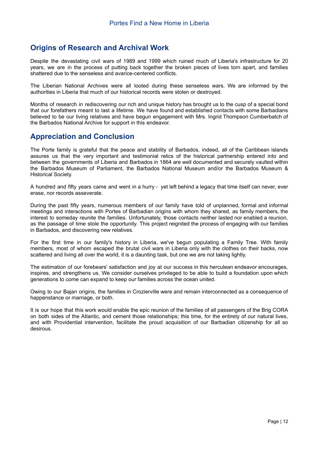# **Origins of Research and Archival Work**

Despite the devastating civil wars of 1989 and 1999 which ruined much of Liberia's infrastructure for 20 years, we are in the process of putting back together the broken pieces of lives torn apart, and families shattered due to the senseless and avarice-centered conflicts.

The Liberian National Archives were all looted during these senseless wars. We are informed by the authorities in Liberia that much of our historical records were stolen or destroyed.

Months of research in rediscovering our rich and unique history has brought us to the cusp of a special bond that our forefathers meant to last a lifetime. We have found and established contacts with some Barbadians believed to be our living relatives and have begun engagement with Mrs. Ingrid Thompson Cumberbatch of the Barbados National Archive for support in this endeavor.

#### **Appreciation and Conclusion**

The Porte family is grateful that the peace and stability of Barbados, indeed, all of the Caribbean islands assures us that the very important and testimonial relics of the historical partnership entered into and between the governments of Liberia and Barbados in 1864 are well documented and securely vaulted within the Barbados Museum of Parliament, the Barbados National Museum and/or the Barbados Museum & Historical Society.

A hundred and fifty years came and went in a hurry - yet left behind a legacy that time itself can never, ever erase, nor records asseverate.

During the past fifty years, numerous members of our family have told of unplanned, formal and informal meetings and interactions with Portes of Barbadian origins with whom they shared, as family members, the interest to someday reunite the families. Unfortunately, those contacts neither lasted nor enabled a reunion, as the passage of time stole the opportunity. This project reignited the process of engaging with our families in Barbados, and discovering new relatives.

For the first time in our family's history in Liberia, we've begun populating a Family Tree. With family members, most of whom escaped the brutal civil wars in Liberia only with the clothes on their backs, now scattered and living all over the world, it is a daunting task, but one we are not taking lightly.

The estimation of our forebears' satisfaction and joy at our success in this herculean endeavor encourages, inspires, and strengthens us. We consider ourselves privileged to be able to build a foundation upon which generations to come can expand to keep our families across the ocean united.

Owing to our Bajan origins, the families in Crozierville were and remain interconnected as a consequence of happenstance or marriage, or both.

It is our hope that this work would enable the epic reunion of the families of all passengers of the Brig CORA on both sides of the Atlantic, and cement those relationships; this time, for the entirety of our natural lives, and with Providential intervention, facilitate the proud acquisition of our Barbadian citizenship for all so desirous.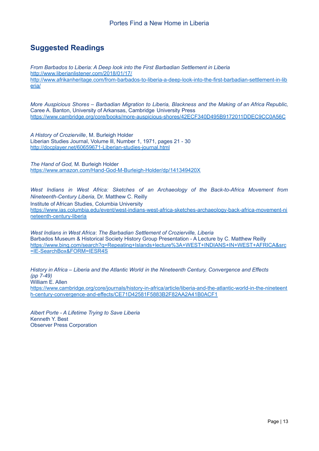# **Suggested Readings**

*From Barbados to Liberia: A Deep look into the First Barbadian Settlement in Liberia* <http://www.liberianlistener.com/2018/01/17/> [http://www.afrikanheritage.com/from-barbados-to-liberia-a-deep-look-into-the-first-barbadian-settlement-in-lib](http://www.afrikanheritage.com/from-barbados-to-liberia-a-deep-look-into-the-first-barbadian-settlement-in-liberia/) [eria/](http://www.afrikanheritage.com/from-barbados-to-liberia-a-deep-look-into-the-first-barbadian-settlement-in-liberia/)

*More Auspicious Shores – Barbadian Migration to Liberia, Blackness and the Making of an Africa Republic,* Caree A. Banton, University of Arkansas, Cambridge University Press <https://www.cambridge.org/core/books/more-auspicious-shores/42ECF340D495B9172011DDEC9CC0A56C>

*A History of Crozierville*, M. Burleigh Holder Liberian Studies Journal, Volume lll, Number 1, 1971, pages 21 - 30 <http://docplayer.net/60659671-Liberian-studies-journal.html>

*The Hand of God,* M. Burleigh Holder <https://www.amazon.com/Hand-God-M-Burleigh-Holder/dp/141349420X>

*West Indians in West Africa: Sketches of an Archaeology of the Back-to-Africa Movement from Nineteenth-Century Liberia,* Dr. Matthew C. Reilly Institute of African Studies, Columbia University [https://www.ias.columbia.edu/event/west-indians-west-africa-sketches-archaeology-back-africa-movement-ni](https://www.ias.columbia.edu/event/west-indians-west-africa-sketches-archaeology-back-africa-movement-nineteenth-century-liberia) [neteenth-century-liberia](https://www.ias.columbia.edu/event/west-indians-west-africa-sketches-archaeology-back-africa-movement-nineteenth-century-liberia)

*West Indians in West Africa*: *The Barbadian Settlement of Crozierville, Liberia* Barbados Museum & Historical Society History Group Presentation - A Lecture by C. Matthew Reilly [https://www.bing.com/search?q=Repeating+Islands+lecture%3A+WEST+INDIANS+IN+WEST+AFRICA&src](https://www.bing.com/search?q=Repeating+Islands+lecture%3A+WEST+INDIANS+IN+WEST+AFRICA&src=IE-SearchBox&FORM=IESR4S) [=IE-SearchBox&FORM=IESR4S](https://www.bing.com/search?q=Repeating+Islands+lecture%3A+WEST+INDIANS+IN+WEST+AFRICA&src=IE-SearchBox&FORM=IESR4S)

*History in Africa – Liberia and the Atlantic World in the Nineteenth Century, Convergence and Effects (pp 7-49)* William E. Allen [https://www.cambridge.org/core/journals/history-in-africa/article/liberia-and-the-atlantic-world-in-the-nineteent](https://www.cambridge.org/core/journals/history-in-africa/article/liberia-and-the-atlantic-world-in-the-nineteenth-century-convergence-and-effects/CE71D42581F5883B2F82AA2A41B0ACF1) [h-century-convergence-and-effects/CE71D42581F5883B2F82AA2A41B0ACF1](https://www.cambridge.org/core/journals/history-in-africa/article/liberia-and-the-atlantic-world-in-the-nineteenth-century-convergence-and-effects/CE71D42581F5883B2F82AA2A41B0ACF1)

*Albert Porte - A Lifetime Trying to Save Liberia* Kenneth Y. Best Observer Press Corporation